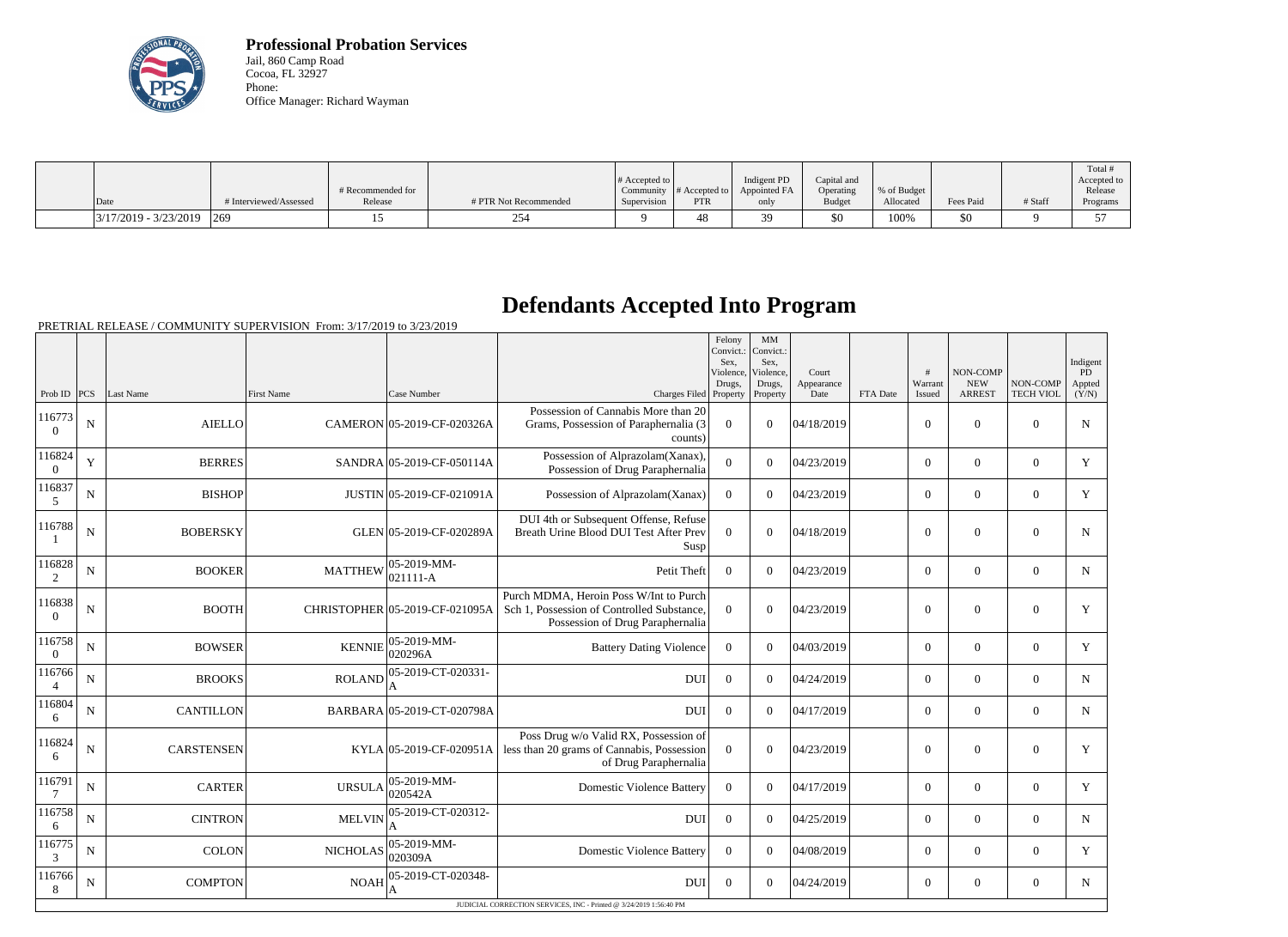

**Professional Probation Services** Jail, 860 Camp Road Cocoa, FL 32927 Phone: Office Manager: Richard Wayman

|                         |                        |                   |                       |                  |                  |              |               |             |           |         | Total !                  |
|-------------------------|------------------------|-------------------|-----------------------|------------------|------------------|--------------|---------------|-------------|-----------|---------|--------------------------|
|                         |                        |                   |                       | $\#$ Accepted to |                  | Indigent PD  | Capital and   |             |           |         | Accepted to              |
|                         |                        | # Recommended for |                       | Community        | $\#$ Accepted to | Appointed FA | Operating     | % of Budget |           |         | Release                  |
| Date                    | # Interviewed/Assessed | Release           | # PTR Not Recommended | Supervision      | PTR              | only         | <b>Budget</b> | Allocated   | Fees Paid | # Staff | Programs                 |
| $3/17/2019 - 3/23/2019$ | $ 269\rangle$          |                   | າ<                    |                  | 48               | 20           | \$0           | 100%        | \$0       |         | $\overline{\phantom{a}}$ |

## **Defendants Accepted Into Program**

|                    |             |                   |                 |                                 |                                                                                                                                                      | Felony<br>Convict.:<br>Sex.<br>Violence. | MM<br>Convict.:<br>Sex.<br>Violence, | Court              |          | #                 | NON-COMP                    |                              | Indigent<br>PD  |
|--------------------|-------------|-------------------|-----------------|---------------------------------|------------------------------------------------------------------------------------------------------------------------------------------------------|------------------------------------------|--------------------------------------|--------------------|----------|-------------------|-----------------------------|------------------------------|-----------------|
| Prob ID            | PCS         | Last Name         | First Name      | Case Number                     | Charges Filed Property                                                                                                                               | Drugs,                                   | Drugs,<br>Property                   | Appearance<br>Date | FTA Date | Warrant<br>Issued | <b>NEW</b><br><b>ARREST</b> | NON-COMP<br><b>TECH VIOL</b> | Appted<br>(Y/N) |
| 116773<br>$\Omega$ | $\mathbf N$ | <b>AIELLO</b>     |                 | CAMERON 05-2019-CF-020326A      | Possession of Cannabis More than 20<br>Grams, Possession of Paraphernalia (3<br>counts)                                                              | $\theta$                                 | $\Omega$                             | 04/18/2019         |          | $\Omega$          | $\boldsymbol{0}$            | $\Omega$                     | ${\bf N}$       |
| 116824<br>$\Omega$ | $\mathbf Y$ | <b>BERRES</b>     |                 | SANDRA 05-2019-CF-050114A       | Possession of Alprazolam(Xanax),<br>Possession of Drug Paraphernalia                                                                                 | $\theta$                                 | $\Omega$                             | 04/23/2019         |          | $\Omega$          | $\boldsymbol{0}$            | $\theta$                     | Y               |
| 116837<br>5        | N           | <b>BISHOP</b>     |                 | JUSTIN 05-2019-CF-021091A       | Possession of Alprazolam(Xanax)                                                                                                                      | $\overline{0}$                           | $\Omega$                             | 04/23/2019         |          | $\mathbf{0}$      | $\mathbf{0}$                | $\boldsymbol{0}$             | Y               |
| 116788             | N           | <b>BOBERSKY</b>   |                 | GLEN 05-2019-CF-020289A         | DUI 4th or Subsequent Offense, Refuse<br>Breath Urine Blood DUI Test After Prev<br>Susp                                                              | $\Omega$                                 | $\Omega$                             | 04/18/2019         |          | $\Omega$          | $\Omega$                    | $\Omega$                     | N               |
| 116828             | $\mathbf N$ | <b>BOOKER</b>     | <b>MATTHEW</b>  | $ 05-2019-MM-$<br>$ 021111 - A$ | Petit Theft                                                                                                                                          | $\overline{0}$                           | $\Omega$                             | 04/23/2019         |          | $\boldsymbol{0}$  | $\mathbf{0}$                | $\mathbf{0}$                 | $\mathbf N$     |
| 116838<br>$\Omega$ | ${\bf N}$   | <b>BOOTH</b>      |                 | CHRISTOPHER 05-2019-CF-021095A  | Purch MDMA, Heroin Poss W/Int to Purch<br>Sch 1, Possession of Controlled Substance,<br>Possession of Drug Paraphernalia                             | $\Omega$                                 | $\Omega$                             | 04/23/2019         |          | $\Omega$          | $\boldsymbol{0}$            | $\Omega$                     | Y               |
| 116758<br>$\Omega$ | $\mathbf N$ | <b>BOWSER</b>     | <b>KENNIE</b>   | $ 05-2019-MM-$<br>020296A       | <b>Battery Dating Violence</b>                                                                                                                       | $\overline{0}$                           | $\Omega$                             | 04/03/2019         |          | $\mathbf{0}$      | $\mathbf{0}$                | $\boldsymbol{0}$             | Y               |
| 116766             | N           | <b>BROOKS</b>     | <b>ROLAND</b>   | 05-2019-CT-020331-<br>A         | <b>DUI</b>                                                                                                                                           | $\overline{0}$                           | $\Omega$                             | 04/24/2019         |          | $\Omega$          | $\overline{0}$              | $\overline{0}$               | $N_{\rm}$       |
| 116804<br>6        | N           | <b>CANTILLON</b>  |                 | BARBARA 05-2019-CT-020798A      | <b>DUI</b>                                                                                                                                           | $\overline{0}$                           | $\Omega$                             | 04/17/2019         |          | $\overline{0}$    | $\overline{0}$              | $\overline{0}$               | N               |
| 116824<br>6        | ${\bf N}$   | <b>CARSTENSEN</b> |                 |                                 | Poss Drug w/o Valid RX, Possession of<br>$\text{KYLA}\vert$ 05-2019-CF-020951A   less than 20 grams of Cannabis, Possession<br>of Drug Paraphernalia | $\Omega$                                 | $\Omega$                             | 04/23/2019         |          | $\boldsymbol{0}$  | $\mathbf{0}$                | $\boldsymbol{0}$             | Y               |
| 116791             | N           | <b>CARTER</b>     | <b>URSULA</b>   | $ 05-2019-MM -$<br>020542A      | <b>Domestic Violence Battery</b>                                                                                                                     | $\overline{0}$                           | $\Omega$                             | 04/17/2019         |          | $\overline{0}$    | $\overline{0}$              | $\overline{0}$               | Y               |
| 116758<br>6        | $\mathbf N$ | <b>CINTRON</b>    | <b>MELVIN</b>   | 05-2019-CT-020312-<br>A         | <b>DUI</b>                                                                                                                                           | $\Omega$                                 | $\Omega$                             | 04/25/2019         |          | $\Omega$          | $\mathbf{0}$                | $\overline{0}$               | N               |
| 116775<br>3        | $\mathbf N$ | <b>COLON</b>      | <b>NICHOLAS</b> | $ 05 - 2019 - MM -$<br>020309A  | <b>Domestic Violence Battery</b>                                                                                                                     | $\overline{0}$                           | $\Omega$                             | 04/08/2019         |          | $\Omega$          | $\boldsymbol{0}$            | $\boldsymbol{0}$             | Y               |
| 116766<br>8        | ${\bf N}$   | <b>COMPTON</b>    | <b>NOAH</b>     | 05-2019-CT-020348-<br>A         | <b>DUI</b>                                                                                                                                           | $\overline{0}$                           | $\Omega$                             | 04/24/2019         |          | $\Omega$          | $\boldsymbol{0}$            | $\theta$                     | $\mathbf N$     |
|                    |             |                   |                 |                                 | JUDICIAL CORRECTION SERVICES, INC - Printed @ 3/24/2019 1:56:40 PM                                                                                   |                                          |                                      |                    |          |                   |                             |                              |                 |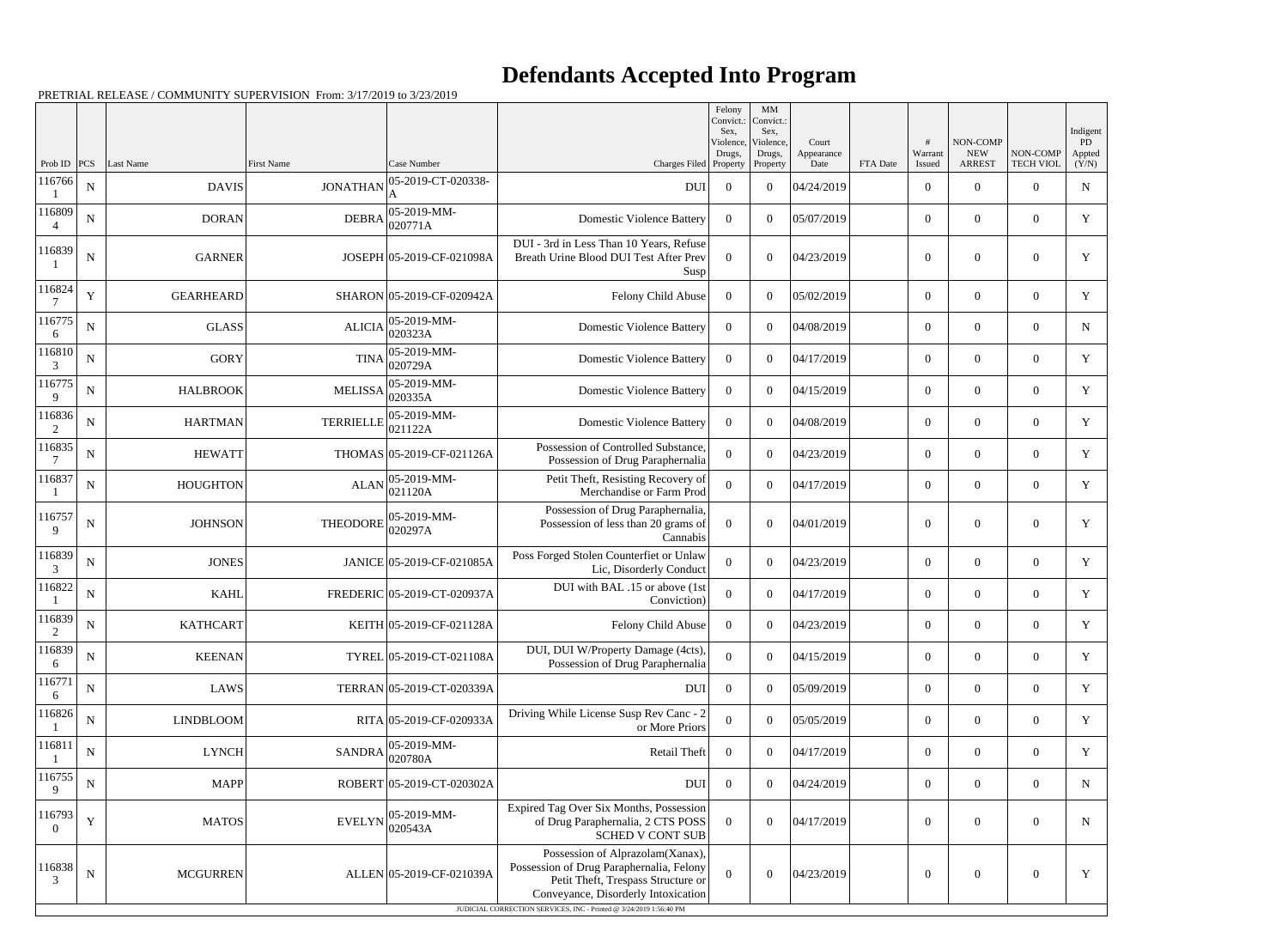## **Defendants Accepted Into Program**

|                          |             |                  |                   |                             |                                                                                                                                                           | Felony<br>Sex,      | MM<br>Convict.:   Convict.:<br>Sex, |                             |          |                        |                                         |                              | Indigent              |
|--------------------------|-------------|------------------|-------------------|-----------------------------|-----------------------------------------------------------------------------------------------------------------------------------------------------------|---------------------|-------------------------------------|-----------------------------|----------|------------------------|-----------------------------------------|------------------------------|-----------------------|
| Prob ID                  | PCS         | Last Name        | <b>First Name</b> | Case Number                 | Charges Filed Property                                                                                                                                    | Violence,<br>Drugs, | Violence,<br>Drugs,<br>Property     | Court<br>Appearance<br>Date | FTA Date | #<br>Warrant<br>Issued | NON-COMP<br><b>NEW</b><br><b>ARREST</b> | NON-COMP<br><b>TECH VIOL</b> | PD<br>Appted<br>(Y/N) |
| 116766                   | ${\bf N}$   | <b>DAVIS</b>     | <b>JONATHAN</b>   | 05-2019-CT-020338-          | <b>DUI</b>                                                                                                                                                | $\overline{0}$      | $\Omega$                            | 04/24/2019                  |          | $\overline{0}$         | $\overline{0}$                          | $\Omega$                     | N                     |
| 116809                   | N           | <b>DORAN</b>     | <b>DEBRA</b>      | 05-2019-MM-<br>020771A      | <b>Domestic Violence Battery</b>                                                                                                                          | $\Omega$            | $\Omega$                            | 05/07/2019                  |          | $\boldsymbol{0}$       | $\overline{0}$                          | $\overline{0}$               | Y                     |
| 116839                   | ${\bf N}$   | <b>GARNER</b>    |                   | JOSEPH 05-2019-CF-021098A   | DUI - 3rd in Less Than 10 Years, Refuse<br>Breath Urine Blood DUI Test After Prev<br>Susp                                                                 | $\theta$            | $\Omega$                            | 04/23/2019                  |          | $\overline{0}$         | $\Omega$                                | $\Omega$                     | Y                     |
| 116824                   | $\mathbf Y$ | <b>GEARHEARD</b> |                   | SHARON 05-2019-CF-020942A   | Felony Child Abuse                                                                                                                                        | $\Omega$            | $\Omega$                            | 05/02/2019                  |          | $\overline{0}$         | $\overline{0}$                          | $\theta$                     | Y                     |
| 116775<br>6              | $\mathbf N$ | <b>GLASS</b>     | <b>ALICIA</b>     | 05-2019-MM-<br>020323A      | <b>Domestic Violence Battery</b>                                                                                                                          | $\overline{0}$      | $\Omega$                            | 04/08/2019                  |          | $\overline{0}$         | $\Omega$                                | $\Omega$                     | N                     |
| 116810<br>3              | $\mathbf N$ | <b>GORY</b>      | <b>TINA</b>       | 05-2019-MM-<br>020729A      | <b>Domestic Violence Battery</b>                                                                                                                          | $\overline{0}$      | $\Omega$                            | 04/17/2019                  |          | $\boldsymbol{0}$       | $\theta$                                | $\Omega$                     | Y                     |
| 116775<br>9              | $\mathbf N$ | <b>HALBROOK</b>  | <b>MELISSA</b>    | 05-2019-MM-<br> 020335A     | <b>Domestic Violence Battery</b>                                                                                                                          | $\overline{0}$      | $\Omega$                            | 04/15/2019                  |          | $\overline{0}$         | $\Omega$                                | $\Omega$                     | Y                     |
| 116836<br>2              | N           | <b>HARTMAN</b>   | <b>TERRIELLE</b>  | 05-2019-MM-<br>021122A      | <b>Domestic Violence Battery</b>                                                                                                                          | $\Omega$            | $\Omega$                            | 04/08/2019                  |          | $\overline{0}$         | $\overline{0}$                          | $\Omega$                     | Y                     |
| 116835<br>7              | $\mathbf N$ | <b>HEWATT</b>    |                   | THOMAS 05-2019-CF-021126A   | Possession of Controlled Substance,<br>Possession of Drug Paraphernalia                                                                                   | $\Omega$            | $\Omega$                            | 04/23/2019                  |          | $\overline{0}$         | $\Omega$                                | $\Omega$                     | Y                     |
| 116837                   | N           | <b>HOUGHTON</b>  | <b>ALAN</b>       | 05-2019-MM-<br>021120A      | Petit Theft, Resisting Recovery of<br>Merchandise or Farm Prod                                                                                            | $\overline{0}$      | $\Omega$                            | 04/17/2019                  |          | $\overline{0}$         | $\overline{0}$                          | $\overline{0}$               | Y                     |
| 116757<br>9              | ${\bf N}$   | <b>JOHNSON</b>   | THEODORE          | 05-2019-MM-<br>020297A      | Possession of Drug Paraphernalia,<br>Possession of less than 20 grams of<br>Cannabis                                                                      | $\theta$            | $\Omega$                            | 04/01/2019                  |          | $\overline{0}$         | $\Omega$                                | $\theta$                     | Y                     |
| 116839<br>3              | N           | <b>JONES</b>     |                   | JANICE 05-2019-CF-021085A   | Poss Forged Stolen Counterfiet or Unlaw<br>Lic, Disorderly Conduct                                                                                        | $\overline{0}$      | $\Omega$                            | 04/23/2019                  |          | $\overline{0}$         | $\overline{0}$                          | $\overline{0}$               | Y                     |
| 116822                   | ${\bf N}$   | <b>KAHL</b>      |                   | FREDERIC 05-2019-CT-020937A | DUI with BAL .15 or above (1st<br>Conviction)                                                                                                             | $\Omega$            | $\Omega$                            | 04/17/2019                  |          | $\overline{0}$         | $\overline{0}$                          | $\Omega$                     | Y                     |
| 116839<br>$\overline{2}$ | ${\bf N}$   | <b>KATHCART</b>  |                   | KEITH 05-2019-CF-021128A    | Felony Child Abuse                                                                                                                                        | $\mathbf{0}$        | $\overline{0}$                      | 04/23/2019                  |          | $\boldsymbol{0}$       | $\overline{0}$                          | $\overline{0}$               | Y                     |
| 116839<br>6              | $\mathbf N$ | <b>KEENAN</b>    |                   | TYREL 05-2019-CT-021108A    | DUI, DUI W/Property Damage (4cts),<br>Possession of Drug Paraphernalia                                                                                    | $\overline{0}$      | $\boldsymbol{0}$                    | 04/15/2019                  |          | $\overline{0}$         | $\overline{0}$                          | $\overline{0}$               | Y                     |
| 116771<br>6              | N           | LAWS             |                   | TERRAN 05-2019-CT-020339A   | <b>DUI</b>                                                                                                                                                | $\overline{0}$      | $\overline{0}$                      | 05/09/2019                  |          | $\overline{0}$         | $\boldsymbol{0}$                        | $\overline{0}$               | Y                     |
| 116826                   | ${\bf N}$   | <b>LINDBLOOM</b> |                   | RITA 05-2019-CF-020933A     | Driving While License Susp Rev Canc - 2<br>or More Priors                                                                                                 | $\theta$            | $\overline{0}$                      | 05/05/2019                  |          | $\overline{0}$         | $\overline{0}$                          | $\overline{0}$               | Y                     |
| 116811                   | N           | <b>LYNCH</b>     | <b>SANDRA</b>     | 05-2019-MM-<br>020780A      | Retail Theft                                                                                                                                              | $\overline{0}$      | $\overline{0}$                      | 04/17/2019                  |          | $\overline{0}$         | $\boldsymbol{0}$                        | $\overline{0}$               | Y                     |
| 116755<br>9              | $\mathbf N$ | <b>MAPP</b>      |                   | ROBERT 05-2019-CT-020302A   | DUI                                                                                                                                                       | $\overline{0}$      | $\overline{0}$                      | 04/24/2019                  |          | $\overline{0}$         | $\overline{0}$                          | $\overline{0}$               | N                     |
| 116793<br>$\theta$       | $\mathbf Y$ | <b>MATOS</b>     | <b>EVELYN</b>     | 05-2019-MM-<br>020543A      | Expired Tag Over Six Months, Possession<br>of Drug Paraphernalia, 2 CTS POSS<br><b>SCHED V CONT SUB</b>                                                   | $\overline{0}$      | $\mathbf{0}$                        | 04/17/2019                  |          | $\boldsymbol{0}$       | $\boldsymbol{0}$                        | $\overline{0}$               | N                     |
| 116838<br>3              | ${\bf N}$   | <b>MCGURREN</b>  |                   | ALLEN 05-2019-CF-021039A    | Possession of Alprazolam(Xanax),<br>Possession of Drug Paraphernalia, Felony<br>Petit Theft, Trespass Structure or<br>Conveyance, Disorderly Intoxication | $\Omega$            | $\overline{0}$                      | 04/23/2019                  |          | $\boldsymbol{0}$       | $\boldsymbol{0}$                        | $\mathbf{0}$                 | Y                     |
|                          |             |                  |                   |                             | JUDICIAL CORRECTION SERVICES, INC - Printed @ 3/24/2019 1:56:40 PM                                                                                        |                     |                                     |                             |          |                        |                                         |                              |                       |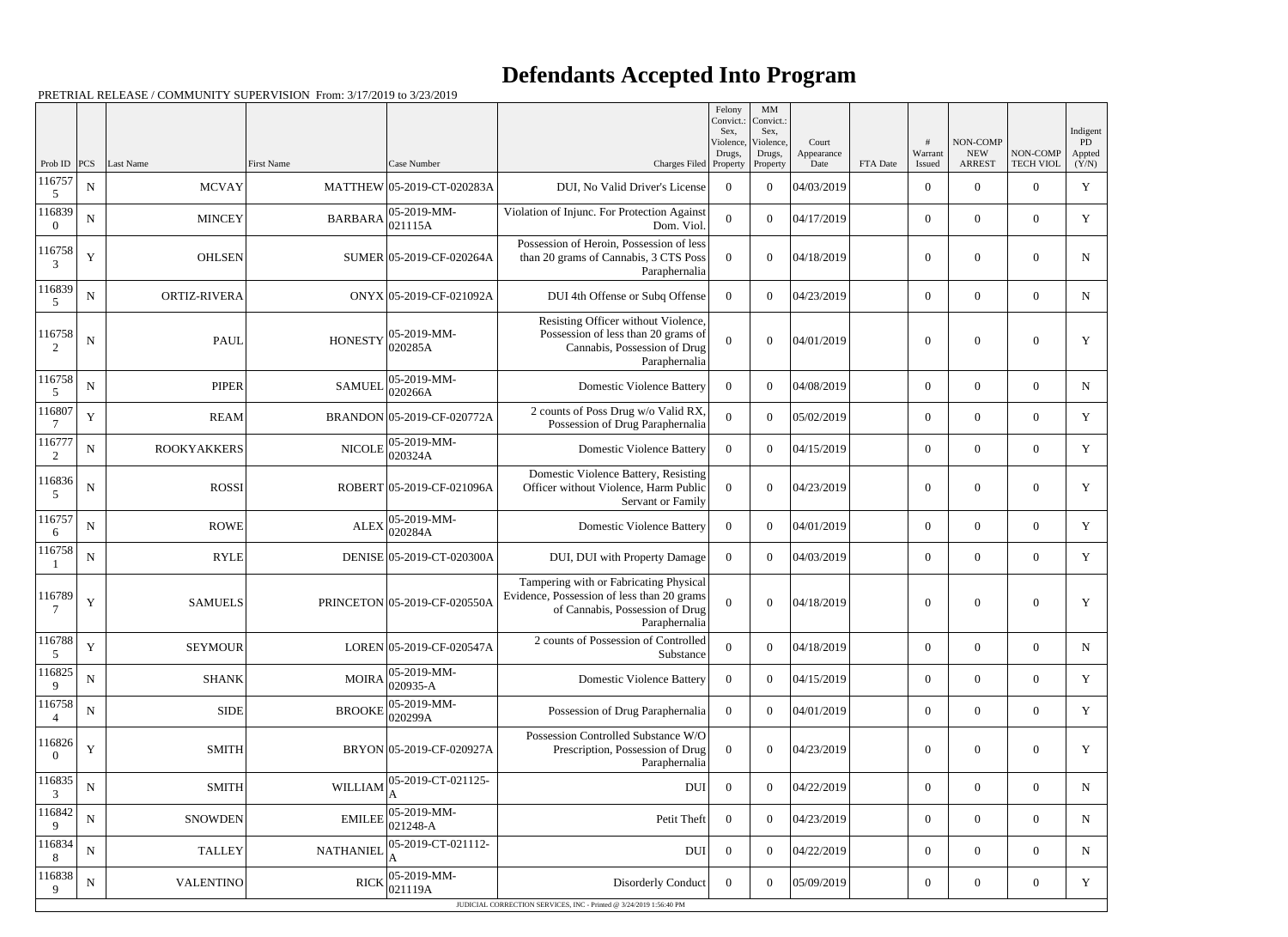## **Defendants Accepted Into Program**

|                          |             |                    |                   |                              |                                                                                                                                          | Felony<br>Convict.:<br>Sex. | $\mathbf{M}\mathbf{M}$<br>Convict.:<br>Sex, |                             |          |                   |                                         |                       | Indigent              |
|--------------------------|-------------|--------------------|-------------------|------------------------------|------------------------------------------------------------------------------------------------------------------------------------------|-----------------------------|---------------------------------------------|-----------------------------|----------|-------------------|-----------------------------------------|-----------------------|-----------------------|
| Prob ID                  | PCS         | Last Name          | <b>First Name</b> | Case Number                  | Charges Filed Property                                                                                                                   | Violence,<br>Drugs,         | Violence,<br>Drugs,<br>Property             | Court<br>Appearance<br>Date | FTA Date | Warrant<br>Issued | NON-COMP<br><b>NEW</b><br><b>ARREST</b> | NON-COMP<br>TECH VIOL | PD<br>Appted<br>(Y/N) |
| 116757<br>5              | ${\bf N}$   | <b>MCVAY</b>       |                   | MATTHEW 05-2019-CT-020283A   | DUI, No Valid Driver's License                                                                                                           | $\Omega$                    | $\theta$                                    | 04/03/2019                  |          | $\overline{0}$    | $\theta$                                | $\overline{0}$        | $\mathbf Y$           |
| 116839<br>$\Omega$       | $\mathbf N$ | <b>MINCEY</b>      | <b>BARBARA</b>    | 05-2019-MM-<br> 021115A      | Violation of Injunc. For Protection Against<br>Dom. Viol.                                                                                | $\Omega$                    | $\theta$                                    | 04/17/2019                  |          | $\theta$          | $\overline{0}$                          | $\overline{0}$        | Y                     |
| 116758<br>3              | Y           | <b>OHLSEN</b>      |                   | SUMER 05-2019-CF-020264A     | Possession of Heroin, Possession of less<br>than 20 grams of Cannabis, 3 CTS Poss<br>Paraphernalia                                       | $\Omega$                    | $\Omega$                                    | 04/18/2019                  |          | $\theta$          | $\theta$                                | $\overline{0}$        | $\mathbf N$           |
| 116839<br>.5             | ${\bf N}$   | ORTIZ-RIVERA       |                   | ONYX 05-2019-CF-021092A      | DUI 4th Offense or Subq Offense                                                                                                          | $\overline{0}$              | $\theta$                                    | 04/23/2019                  |          | $\theta$          | $\overline{0}$                          | $\overline{0}$        | N                     |
| 116758<br>2              | $\mathbf N$ | <b>PAUL</b>        | <b>HONESTY</b>    | 05-2019-MM-<br>020285A       | Resisting Officer without Violence,<br>Possession of less than 20 grams of<br>Cannabis, Possession of Drug<br>Paraphernalia              | $\Omega$                    | $\Omega$                                    | 04/01/2019                  |          | $\Omega$          | $\theta$                                | $\overline{0}$        | Y                     |
| 116758<br>5              | $\mathbf N$ | <b>PIPER</b>       | <b>SAMUEL</b>     | 05-2019-MM-<br>020266A       | <b>Domestic Violence Battery</b>                                                                                                         | $\Omega$                    | $\Omega$                                    | 04/08/2019                  |          | $\overline{0}$    | $\overline{0}$                          | $\overline{0}$        | $\mathbf N$           |
| 116807                   | $\mathbf Y$ | <b>REAM</b>        |                   | BRANDON 05-2019-CF-020772A   | 2 counts of Poss Drug w/o Valid RX,<br>Possession of Drug Paraphernalia                                                                  | $\theta$                    | $\theta$                                    | 05/02/2019                  |          | $\overline{0}$    | $\overline{0}$                          | $\overline{0}$        | $\mathbf Y$           |
| 116777<br>2              | $\mathbf N$ | <b>ROOKYAKKERS</b> | <b>NICOLE</b>     | 05-2019-MM-<br>020324A       | <b>Domestic Violence Battery</b>                                                                                                         | $\Omega$                    | $\theta$                                    | 04/15/2019                  |          | $\overline{0}$    | $\overline{0}$                          | $\overline{0}$        | Y                     |
| 116836<br>5              | $\mathbf N$ | ROSSI              |                   | ROBERT 05-2019-CF-021096A    | Domestic Violence Battery, Resisting<br>Officer without Violence, Harm Public<br>Servant or Family                                       | $\theta$                    | $\theta$                                    | 04/23/2019                  |          | $\overline{0}$    | $\overline{0}$                          | $\overline{0}$        | $\mathbf Y$           |
| 116757<br>6              | $\mathbf N$ | ROWE               | <b>ALEX</b>       | 05-2019-MM-<br>020284A       | <b>Domestic Violence Battery</b>                                                                                                         | $\Omega$                    | $\theta$                                    | 04/01/2019                  |          | $\overline{0}$    | $\overline{0}$                          | $\overline{0}$        | Y                     |
| 116758                   | ${\bf N}$   | RYLE               |                   | DENISE 05-2019-CT-020300A    | DUI, DUI with Property Damage                                                                                                            | $\boldsymbol{0}$            | $\theta$                                    | 04/03/2019                  |          | $\overline{0}$    | $\overline{0}$                          | $\overline{0}$        | $\mathbf Y$           |
| 116789<br>7              | Y           | <b>SAMUELS</b>     |                   | PRINCETON 05-2019-CF-020550A | Tampering with or Fabricating Physical<br>Evidence, Possession of less than 20 grams<br>of Cannabis, Possession of Drug<br>Paraphernalia | $\mathbf{0}$                | $\Omega$                                    | 04/18/2019                  |          | $\overline{0}$    | $\overline{0}$                          | $\overline{0}$        | Y                     |
| 116788<br>5              | $\mathbf Y$ | <b>SEYMOUR</b>     |                   | LOREN 05-2019-CF-020547A     | 2 counts of Possession of Controlled<br>Substance                                                                                        | $\theta$                    | $\theta$                                    | 04/18/2019                  |          | $\overline{0}$    | $\boldsymbol{0}$                        | $\boldsymbol{0}$      | ${\bf N}$             |
| 116825<br>9              | ${\bf N}$   | <b>SHANK</b>       | <b>MOIRA</b>      | 05-2019-MM-<br>020935-A      | <b>Domestic Violence Battery</b>                                                                                                         | $\boldsymbol{0}$            | $\boldsymbol{0}$                            | 04/15/2019                  |          | $\overline{0}$    | $\overline{0}$                          | $\overline{0}$        | Y                     |
| 116758                   | ${\bf N}$   | SIDE               | <b>BROOKE</b>     | 05-2019-MM-<br>020299A       | Possession of Drug Paraphernalia                                                                                                         | $\overline{0}$              | $\overline{0}$                              | 04/01/2019                  |          | $\overline{0}$    | $\overline{0}$                          | $\overline{0}$        | Y                     |
| 116826<br>$\overline{0}$ | Y           | <b>SMITH</b>       |                   | BRYON 05-2019-CF-020927A     | Possession Controlled Substance W/O<br>Prescription, Possession of Drug<br>Paraphernalia                                                 | $\boldsymbol{0}$            | $\boldsymbol{0}$                            | 04/23/2019                  |          | $\mathbf{0}$      | $\overline{0}$                          | $\overline{0}$        | $\mathbf Y$           |
| 116835<br>3              | ${\bf N}$   | <b>SMITH</b>       | WILLIAM           | 05-2019-CT-021125-           | <b>DUI</b>                                                                                                                               | $\boldsymbol{0}$            | $\overline{0}$                              | 04/22/2019                  |          | $\mathbf{0}$      | $\boldsymbol{0}$                        | $\overline{0}$        | ${\bf N}$             |
| 116842<br>9              | ${\bf N}$   | <b>SNOWDEN</b>     | <b>EMILEE</b>     | 05-2019-MM-<br>021248-A      | Petit Theft                                                                                                                              | $\boldsymbol{0}$            | $\boldsymbol{0}$                            | 04/23/2019                  |          | $\mathbf{0}$      | $\boldsymbol{0}$                        | $\boldsymbol{0}$      | $\mathbf N$           |
| 116834<br>8              | ${\bf N}$   | <b>TALLEY</b>      | <b>NATHANIEI</b>  | 05-2019-CT-021112-           | <b>DUI</b>                                                                                                                               | $\overline{0}$              | $\boldsymbol{0}$                            | 04/22/2019                  |          | $\boldsymbol{0}$  | $\boldsymbol{0}$                        | $\boldsymbol{0}$      | $\mathbf N$           |
| 116838<br>9              | ${\bf N}$   | <b>VALENTINO</b>   | <b>RICK</b>       | 05-2019-MM-<br>021119A       | <b>Disorderly Conduct</b>                                                                                                                | $\overline{0}$              | $\overline{0}$                              | 05/09/2019                  |          | $\boldsymbol{0}$  | $\boldsymbol{0}$                        | $\boldsymbol{0}$      | Y                     |
|                          |             |                    |                   |                              | JUDICIAL CORRECTION SERVICES, INC - Printed @ 3/24/2019 1:56:40 PM                                                                       |                             |                                             |                             |          |                   |                                         |                       |                       |